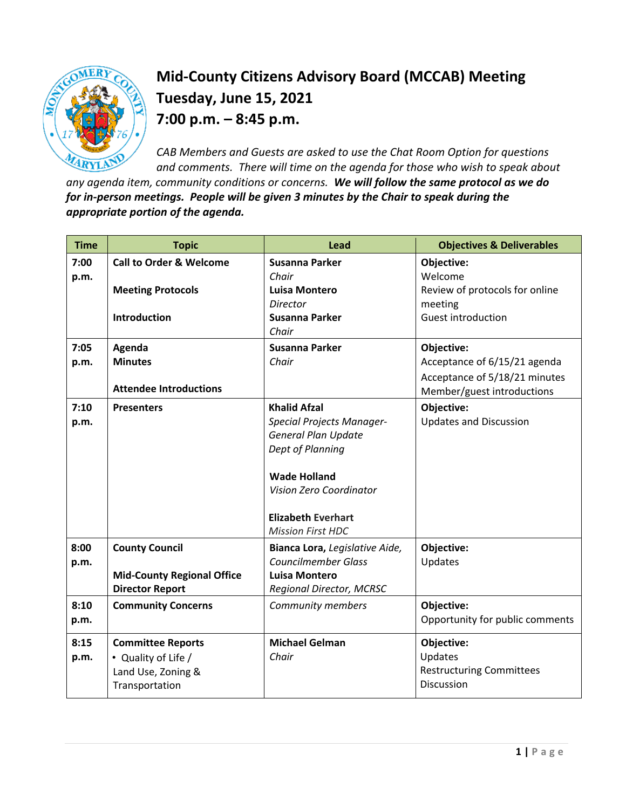

## **Mid-County Citizens Advisory Board (MCCAB) Meeting Tuesday, June 15, 2021 7:00 p.m. – 8:45 p.m.**

*CAB Members and Guests are asked to use the Chat Room Option for questions and comments. There will time on the agenda for those who wish to speak about* 

*any agenda item, community conditions or concerns. We will follow the same protocol as we do for in-person meetings. People will be given 3 minutes by the Chair to speak during the appropriate portion of the agenda.* 

| <b>Time</b> | <b>Topic</b>                       | <b>Lead</b>                                    | <b>Objectives &amp; Deliverables</b> |
|-------------|------------------------------------|------------------------------------------------|--------------------------------------|
| 7:00        | <b>Call to Order &amp; Welcome</b> | Susanna Parker                                 | Objective:                           |
| p.m.        |                                    | Chair                                          | Welcome                              |
|             | <b>Meeting Protocols</b>           | <b>Luisa Montero</b>                           | Review of protocols for online       |
|             | <b>Introduction</b>                | Director<br>Susanna Parker                     | meeting<br>Guest introduction        |
|             |                                    | Chair                                          |                                      |
| 7:05        | Agenda                             | Susanna Parker                                 | Objective:                           |
| p.m.        | <b>Minutes</b>                     | Chair                                          | Acceptance of 6/15/21 agenda         |
|             |                                    |                                                | Acceptance of 5/18/21 minutes        |
|             | <b>Attendee Introductions</b>      |                                                | Member/guest introductions           |
| 7:10        | <b>Presenters</b>                  | <b>Khalid Afzal</b>                            | Objective:                           |
| p.m.        |                                    | <b>Special Projects Manager-</b>               | <b>Updates and Discussion</b>        |
|             |                                    | General Plan Update                            |                                      |
|             |                                    | Dept of Planning                               |                                      |
|             |                                    |                                                |                                      |
|             |                                    | <b>Wade Holland</b><br>Vision Zero Coordinator |                                      |
|             |                                    |                                                |                                      |
|             |                                    | <b>Elizabeth Everhart</b>                      |                                      |
|             |                                    | <b>Mission First HDC</b>                       |                                      |
| 8:00        | <b>County Council</b>              | Bianca Lora, Legislative Aide,                 | Objective:                           |
| p.m.        |                                    | <b>Councilmember Glass</b>                     | Updates                              |
|             | <b>Mid-County Regional Office</b>  | <b>Luisa Montero</b>                           |                                      |
|             | <b>Director Report</b>             | Regional Director, MCRSC                       |                                      |
| 8:10        | <b>Community Concerns</b>          | <b>Community members</b>                       | Objective:                           |
| p.m.        |                                    |                                                | Opportunity for public comments      |
| 8:15        | <b>Committee Reports</b>           | <b>Michael Gelman</b>                          | Objective:                           |
| p.m.        | • Quality of Life /                | Chair                                          | Updates                              |
|             | Land Use, Zoning &                 |                                                | <b>Restructuring Committees</b>      |
|             | Transportation                     |                                                | <b>Discussion</b>                    |